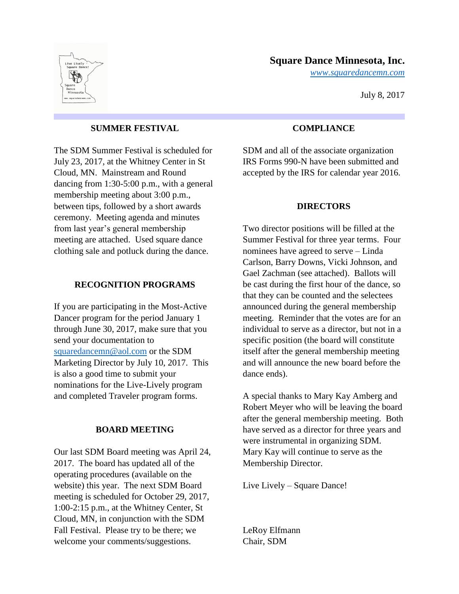

# **Square Dance Minnesota, Inc.**

*[www.squaredancemn.com](http://www.squaredancemn.com/)*

July 8, 2017

### **SUMMER FESTIVAL**

The SDM Summer Festival is scheduled for July 23, 2017, at the Whitney Center in St Cloud, MN. Mainstream and Round dancing from 1:30-5:00 p.m., with a general membership meeting about 3:00 p.m., between tips, followed by a short awards ceremony. Meeting agenda and minutes from last year's general membership meeting are attached. Used square dance clothing sale and potluck during the dance.

### **RECOGNITION PROGRAMS**

If you are participating in the Most-Active Dancer program for the period January 1 through June 30, 2017, make sure that you send your documentation to [squaredancemn@aol.com](mailto:squaredancemn@aol.com) or the SDM Marketing Director by July 10, 2017. This is also a good time to submit your nominations for the Live-Lively program and completed Traveler program forms.

## **BOARD MEETING**

Our last SDM Board meeting was April 24, 2017. The board has updated all of the operating procedures (available on the website) this year. The next SDM Board meeting is scheduled for October 29, 2017, 1:00-2:15 p.m., at the Whitney Center, St Cloud, MN, in conjunction with the SDM Fall Festival. Please try to be there; we welcome your comments/suggestions.

## **COMPLIANCE**

SDM and all of the associate organization IRS Forms 990-N have been submitted and accepted by the IRS for calendar year 2016.

#### **DIRECTORS**

Two director positions will be filled at the Summer Festival for three year terms. Four nominees have agreed to serve – Linda Carlson, Barry Downs, Vicki Johnson, and Gael Zachman (see attached). Ballots will be cast during the first hour of the dance, so that they can be counted and the selectees announced during the general membership meeting. Reminder that the votes are for an individual to serve as a director, but not in a specific position (the board will constitute itself after the general membership meeting and will announce the new board before the dance ends).

A special thanks to Mary Kay Amberg and Robert Meyer who will be leaving the board after the general membership meeting. Both have served as a director for three years and were instrumental in organizing SDM. Mary Kay will continue to serve as the Membership Director.

Live Lively – Square Dance!

LeRoy Elfmann Chair, SDM